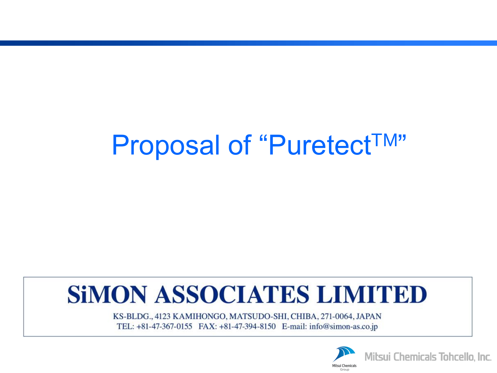# Proposal of "Puretect<sup>TM"</sup>

## **SIMON ASSOCIATES LIMITED**

KS-BLDG., 4123 KAMIHONGO, MATSUDO-SHI, CHIBA, 271-0064, JAPAN TEL: +81-47-367-0155 FAX: +81-47-394-8150 E-mail: info@simon-as.co.jp

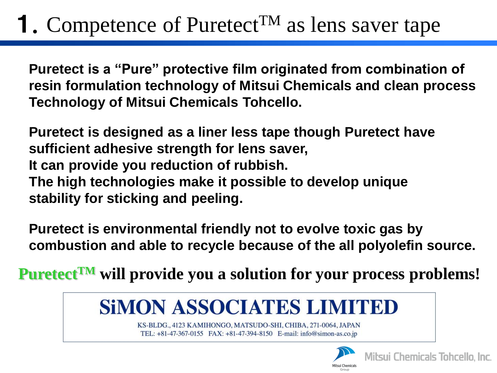### **1.** Competence of Puretect<sup>TM</sup> as lens saver tape

**Puretect is a "Pure" protective film originated from combination of resin formulation technology of Mitsui Chemicals and clean process Technology of Mitsui Chemicals Tohcello.**

**Puretect is designed as a liner less tape though Puretect have sufficient adhesive strength for lens saver, It can provide you reduction of rubbish. The high technologies make it possible to develop unique stability for sticking and peeling.**

**Puretect is environmental friendly not to evolve toxic gas by combustion and able to recycle because of the all polyolefin source.**

**PuretectTM will provide you a solution for your process problems!**



KS-BLDG., 4123 KAMIHONGO, MATSUDO-SHI, CHIBA, 271-0064, JAPAN TEL: +81-47-367-0155 FAX: +81-47-394-8150 E-mail: info@simon-as.co.jp

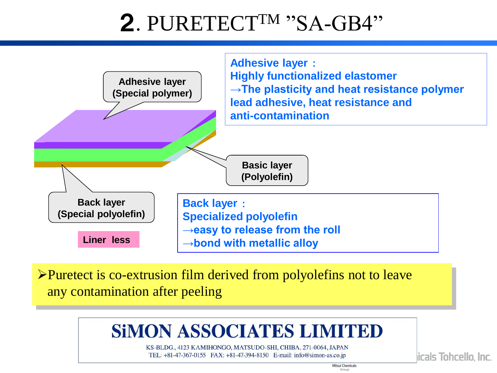## 2. PURETECT<sup>TM</sup> "SA-GB4"



Puretect is co-extrusion film derived from polyolefins not to leave any contamination after peeling

#### **SIMON ASSOCIATES LIMITED**

KS-BLDG., 4123 KAMIHONGO, MATSUDO-SHI, CHIBA, 271-0064, JAPAN TEL: +81-47-367-0155 FAX: +81-47-394-8150 E-mail: info@simon-as.co.jp

> **Milsui Chemicals** Group

icals Tohcello, Inc.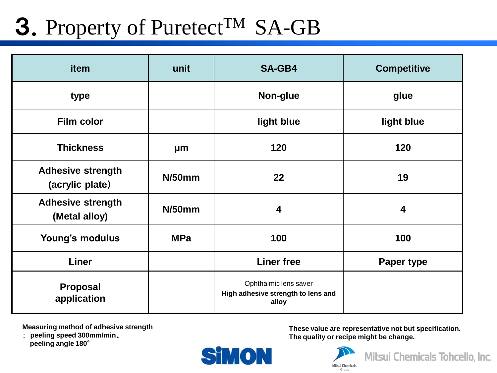## 3. Property of Puretect<sup>TM</sup> SA-GB

| item                                        | unit       | <b>SA-GB4</b>                                                        | <b>Competitive</b>      |
|---------------------------------------------|------------|----------------------------------------------------------------------|-------------------------|
| type                                        |            | Non-glue                                                             | glue                    |
| <b>Film color</b>                           |            | light blue                                                           | light blue              |
| <b>Thickness</b>                            | μm         | 120                                                                  | 120                     |
| <b>Adhesive strength</b><br>(acrylic plate) | $N/50$ mm  | 22                                                                   | 19                      |
| <b>Adhesive strength</b><br>(Metal alloy)   | $N/50$ mm  | $\overline{\mathbf{4}}$                                              | $\overline{\mathbf{4}}$ |
| Young's modulus                             | <b>MPa</b> | 100                                                                  | 100                     |
| <b>Liner</b>                                |            | <b>Liner free</b>                                                    | Paper type              |
| <b>Proposal</b><br>application              |            | Ophthalmic lens saver<br>High adhesive strength to lens and<br>alloy |                         |

**Measuring method of adhesive strength** 

: **peeling speed 300mm/min**、  **peeling angle 180**°

**These value are representative not but specification. The quality or recipe might be change.**



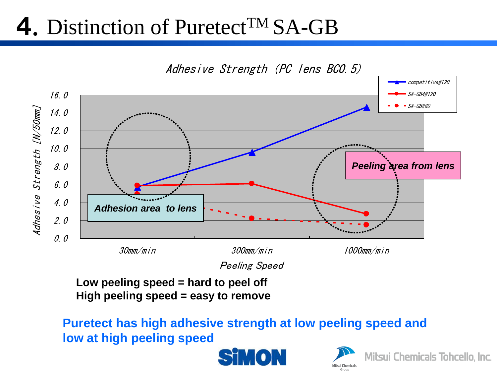#### 4. Distinction of Puretect<sup>TM</sup> SA-GB



**Low peeling speed = hard to peel off High peeling speed = easy to remove**

**Puretect has high adhesive strength at low peeling speed and low at high peeling speed**



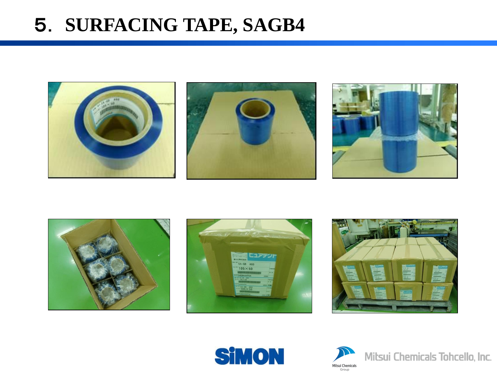#### 5. **SURFACING TAPE, SAGB4**















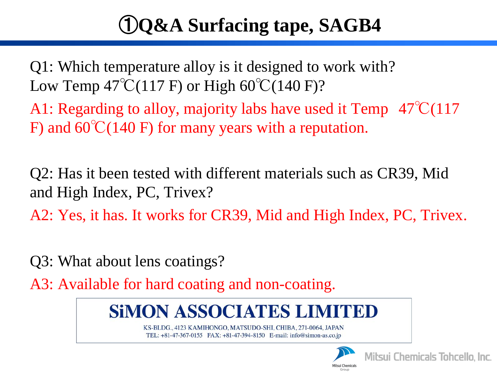#### ①**Q&A Surfacing tape, SAGB4**

Q1: Which temperature alloy is it designed to work with? Low Temp  $47^{\circ}\text{C}(117 \text{ F})$  or High  $60^{\circ}\text{C}(140 \text{ F})$ ?

A1: Regarding to alloy, majority labs have used it Temp  $47^{\circ}\text{C}(117)$ F) and  $60^{\circ}C(140)$  F) for many years with a reputation.

Q2: Has it been tested with different materials such as CR39, Mid and High Index, PC, Trivex?

A2: Yes, it has. It works for CR39, Mid and High Index, PC, Trivex.

Q3: What about lens coatings?

A3: Available for hard coating and non-coating.

#### **SIMON ASSOCIATES LIMITED**

KS-BLDG., 4123 KAMIHONGO, MATSUDO-SHI, CHIBA, 271-0064, JAPAN TEL: +81-47-367-0155 FAX: +81-47-394-8150 E-mail: info@simon-as.co.jp



**Mitsui Chemicals Tohcello, Inc.**